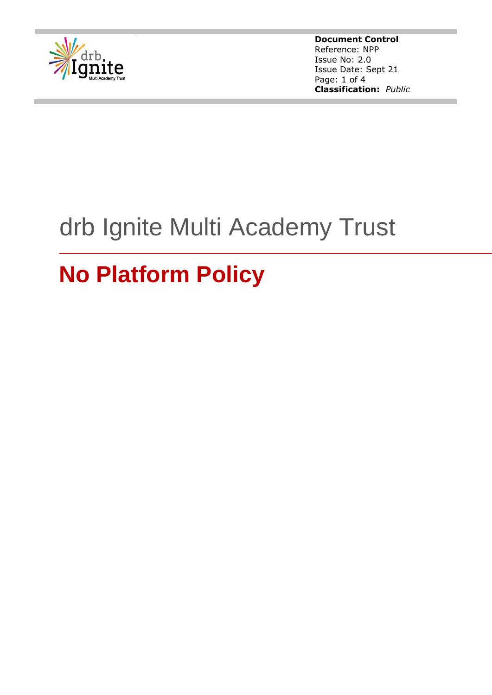

**Document Control** Reference: NPP Issue No: 2.0 Issue Date: Sept 21 Page: 1 of 4 **Classification:** *Public*

# drb Ignite Multi Academy Trust

# **No Platform Policy**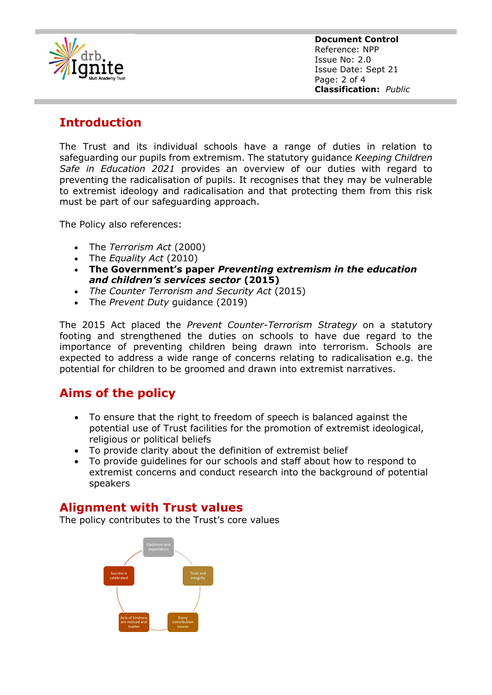

**Document Control** Reference: NPP Issue No: 2.0 Issue Date: Sept 21 Page: 2 of 4 **Classification:** *Public*

## **Introduction**

The Trust and its individual schools have a range of duties in relation to safeguarding our pupils from extremism. The statutory guidance *Keeping Children Safe in Education 2021* provides an overview of our duties with regard to preventing the radicalisation of pupils. It recognises that they may be vulnerable to extremist ideology and radicalisation and that protecting them from this risk must be part of our safeguarding approach.

The Policy also references:

- The *Terrorism Act* (2000)
- The *Equality Act* (2010)
- **The Government's paper** *Preventing extremism in the education and children's services sector* **(2015)**
- *The Counter Terrorism and Security Act* (2015)
- The *Prevent Duty* guidance (2019)

The 2015 Act placed the *Prevent Counter-Terrorism Strategy* on a statutory footing and strengthened the duties on schools to have due regard to the importance of preventing children being drawn into terrorism. Schools are expected to address a wide range of concerns relating to radicalisation e.g. the potential for children to be groomed and drawn into extremist narratives.

## **Aims of the policy**

- To ensure that the right to freedom of speech is balanced against the potential use of Trust facilities for the promotion of extremist ideological, religious or political beliefs
- To provide clarity about the definition of extremist belief
- To provide guidelines for our schools and staff about how to respond to extremist concerns and conduct research into the background of potential speakers

#### **Alignment with Trust values**

The policy contributes to the Trust's core values

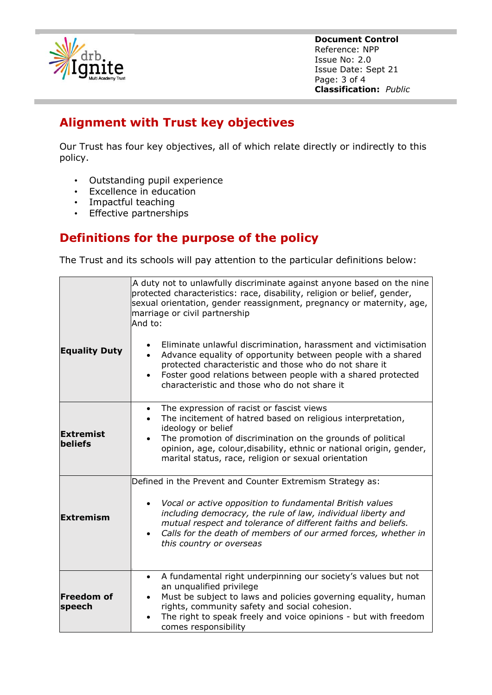

**Document Control** Reference: NPP Issue No: 2.0 Issue Date: Sept 21 Page: 3 of 4 **Classification:** *Public*

## **Alignment with Trust key objectives**

Our Trust has four key objectives, all of which relate directly or indirectly to this policy.

- Outstanding pupil experience
- Excellence in education
- Impactful teaching
- Effective partnerships

## **Definitions for the purpose of the policy**

The Trust and its schools will pay attention to the particular definitions below:

|                                    | A duty not to unlawfully discriminate against anyone based on the nine<br>protected characteristics: race, disability, religion or belief, gender,<br>sexual orientation, gender reassignment, pregnancy or maternity, age,<br>marriage or civil partnership<br>And to:                                                                                           |  |  |
|------------------------------------|-------------------------------------------------------------------------------------------------------------------------------------------------------------------------------------------------------------------------------------------------------------------------------------------------------------------------------------------------------------------|--|--|
| <b>Equality Duty</b>               | Eliminate unlawful discrimination, harassment and victimisation<br>$\bullet$<br>Advance equality of opportunity between people with a shared<br>protected characteristic and those who do not share it<br>Foster good relations between people with a shared protected<br>characteristic and those who do not share it                                            |  |  |
| <b>Extremist</b><br><b>beliefs</b> | The expression of racist or fascist views<br>$\bullet$<br>The incitement of hatred based on religious interpretation,<br>$\bullet$<br>ideology or belief<br>The promotion of discrimination on the grounds of political<br>opinion, age, colour, disability, ethnic or national origin, gender,<br>marital status, race, religion or sexual orientation           |  |  |
| <b>Extremism</b>                   | Defined in the Prevent and Counter Extremism Strategy as:<br>Vocal or active opposition to fundamental British values<br>$\bullet$<br>including democracy, the rule of law, individual liberty and<br>mutual respect and tolerance of different faiths and beliefs.<br>Calls for the death of members of our armed forces, whether in<br>this country or overseas |  |  |
| <b>Freedom of</b><br>speech        | A fundamental right underpinning our society's values but not<br>$\bullet$<br>an unqualified privilege<br>Must be subject to laws and policies governing equality, human<br>٠<br>rights, community safety and social cohesion.<br>The right to speak freely and voice opinions - but with freedom<br>comes responsibility                                         |  |  |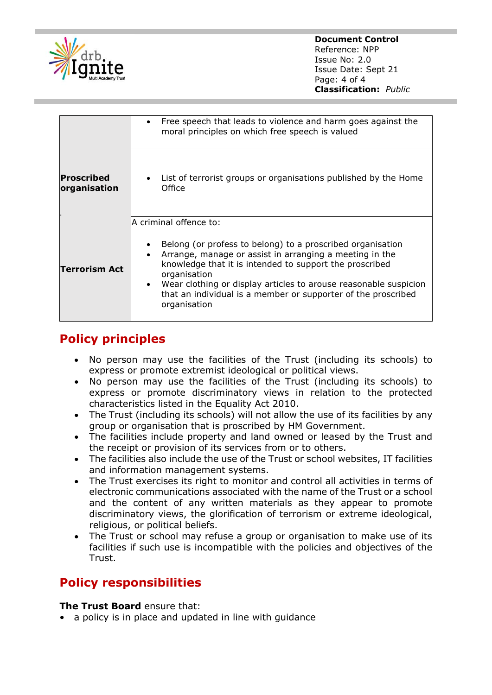

|                            | Free speech that leads to violence and harm goes against the<br>moral principles on which free speech is valued                                                                                                                                                                                                                                                                 |
|----------------------------|---------------------------------------------------------------------------------------------------------------------------------------------------------------------------------------------------------------------------------------------------------------------------------------------------------------------------------------------------------------------------------|
| Proscribed<br>organisation | List of terrorist groups or organisations published by the Home<br>Office                                                                                                                                                                                                                                                                                                       |
| Terrorism Act              | A criminal offence to:<br>Belong (or profess to belong) to a proscribed organisation<br>Arrange, manage or assist in arranging a meeting in the<br>knowledge that it is intended to support the proscribed<br>organisation<br>Wear clothing or display articles to arouse reasonable suspicion<br>that an individual is a member or supporter of the proscribed<br>organisation |

# **Policy principles**

- No person may use the facilities of the Trust (including its schools) to express or promote extremist ideological or political views.
- No person may use the facilities of the Trust (including its schools) to express or promote discriminatory views in relation to the protected characteristics listed in the Equality Act 2010.
- The Trust (including its schools) will not allow the use of its facilities by any group or organisation that is proscribed by HM Government.
- The facilities include property and land owned or leased by the Trust and the receipt or provision of its services from or to others.
- The facilities also include the use of the Trust or school websites, IT facilities and information management systems.
- The Trust exercises its right to monitor and control all activities in terms of electronic communications associated with the name of the Trust or a school and the content of any written materials as they appear to promote discriminatory views, the glorification of terrorism or extreme ideological, religious, or political beliefs.
- The Trust or school may refuse a group or organisation to make use of its facilities if such use is incompatible with the policies and objectives of the Trust.

# **Policy responsibilities**

#### **The Trust Board** ensure that:

• a policy is in place and updated in line with guidance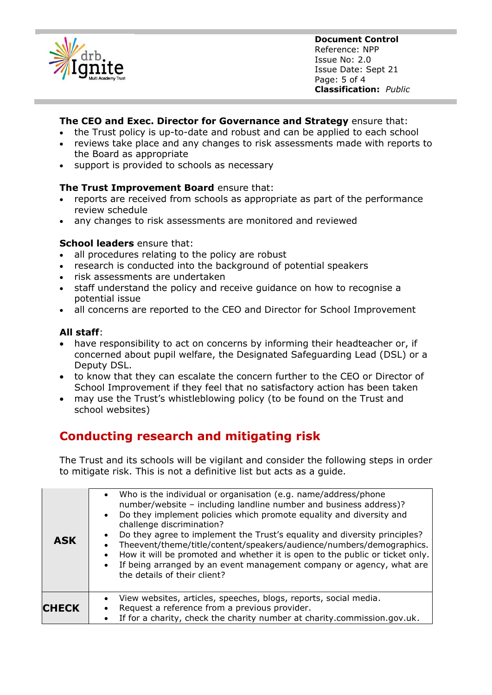

**Document Control** Reference: NPP Issue No: 2.0 Issue Date: Sept 21 Page: 5 of 4 **Classification:** *Public*

#### **The CEO and Exec. Director for Governance and Strategy** ensure that:

- the Trust policy is up-to-date and robust and can be applied to each school
- reviews take place and any changes to risk assessments made with reports to the Board as appropriate
- support is provided to schools as necessary

#### **The Trust Improvement Board** ensure that:

- reports are received from schools as appropriate as part of the performance review schedule
- any changes to risk assessments are monitored and reviewed

#### **School leaders** ensure that:

- all procedures relating to the policy are robust
- research is conducted into the background of potential speakers
- risk assessments are undertaken
- staff understand the policy and receive guidance on how to recognise a potential issue
- all concerns are reported to the CEO and Director for School Improvement

#### **All staff**:

- have responsibility to act on concerns by informing their headteacher or, if concerned about pupil welfare, the Designated Safeguarding Lead (DSL) or a Deputy DSL.
- to know that they can escalate the concern further to the CEO or Director of School Improvement if they feel that no satisfactory action has been taken
- may use the Trust's whistleblowing policy (to be found on the Trust and school websites)

## **Conducting research and mitigating risk**

The Trust and its schools will be vigilant and consider the following steps in order to mitigate risk. This is not a definitive list but acts as a guide.

| <b>ASK</b>   | Who is the individual or organisation (e.g. name/address/phone<br>number/website - including landline number and business address)?<br>Do they implement policies which promote equality and diversity and<br>challenge discrimination?<br>Do they agree to implement the Trust's equality and diversity principles?<br>Theevent/theme/title/content/speakers/audience/numbers/demographics.<br>How it will be promoted and whether it is open to the public or ticket only.<br>If being arranged by an event management company or agency, what are<br>the details of their client? |
|--------------|--------------------------------------------------------------------------------------------------------------------------------------------------------------------------------------------------------------------------------------------------------------------------------------------------------------------------------------------------------------------------------------------------------------------------------------------------------------------------------------------------------------------------------------------------------------------------------------|
| <b>CHECK</b> | View websites, articles, speeches, blogs, reports, social media.<br>Request a reference from a previous provider.<br>If for a charity, check the charity number at charity.commission.gov.uk.                                                                                                                                                                                                                                                                                                                                                                                        |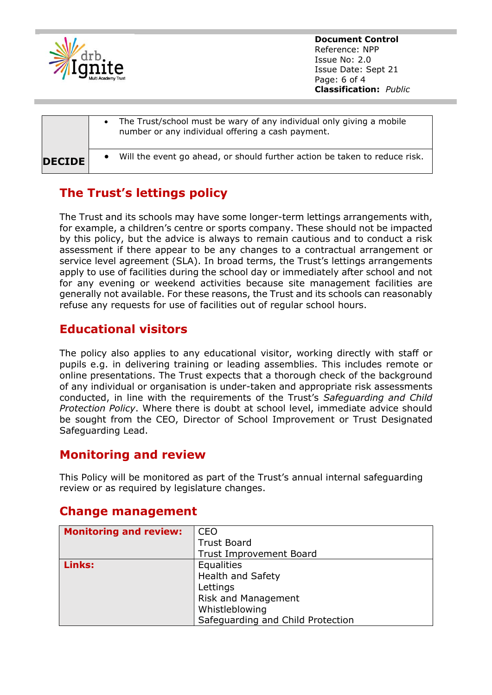

**Document Control** Reference: NPP Issue No: 2.0 Issue Date: Sept 21 Page: 6 of 4 **Classification:** *Public*

|               | The Trust/school must be wary of any individual only giving a mobile<br>number or any individual offering a cash payment. |
|---------------|---------------------------------------------------------------------------------------------------------------------------|
| <b>DECIDE</b> | Will the event go ahead, or should further action be taken to reduce risk.                                                |

# **The Trust's lettings policy**

The Trust and its schools may have some longer-term lettings arrangements with, for example, a children's centre or sports company. These should not be impacted by this policy, but the advice is always to remain cautious and to conduct a risk assessment if there appear to be any changes to a contractual arrangement or service level agreement (SLA). In broad terms, the Trust's lettings arrangements apply to use of facilities during the school day or immediately after school and not for any evening or weekend activities because site management facilities are generally not available. For these reasons, the Trust and its schools can reasonably refuse any requests for use of facilities out of regular school hours.

## **Educational visitors**

The policy also applies to any educational visitor, working directly with staff or pupils e.g. in delivering training or leading assemblies. This includes remote or online presentations. The Trust expects that a thorough check of the background of any individual or organisation is under-taken and appropriate risk assessments conducted, in line with the requirements of the Trust's *Safeguarding and Child Protection Policy*. Where there is doubt at school level, immediate advice should be sought from the CEO, Director of School Improvement or Trust Designated Safeguarding Lead.

### **Monitoring and review**

This Policy will be monitored as part of the Trust's annual internal safeguarding review or as required by legislature changes.

| <b>Monitoring and review:</b> | <b>CEO</b>                        |
|-------------------------------|-----------------------------------|
|                               | <b>Trust Board</b>                |
|                               | <b>Trust Improvement Board</b>    |
| Links:                        | Equalities                        |
|                               | <b>Health and Safety</b>          |
|                               | Lettings                          |
|                               | Risk and Management               |
|                               | Whistleblowing                    |
|                               | Safeguarding and Child Protection |

## **Change management**